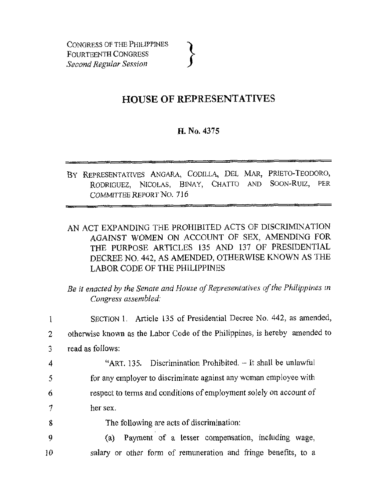## **HOUSE OF REPRESENTATIVES**

## **H. No. 4375**

- BY REPRESENTATIVES ANGARA, CODILLA, DEL MAR, PRIETO-TEODORO, PODERCHEZ NICOLAS BINAY CHATTO AND SOON-RUIZ. PER RODRIGUEZ, NICOLAS, BINAY, CHATTO AND SOON-RUIZ, COMMITTEE REPORT NO. 7 16
- AN ACT EXPANDING THE PROHIBITED ACTS OF DISCRIMINATION AGAlNST WOMEN ON ACCOUNT OF SEX, AMENDING FOR THE PURPOSE ARTICLES 135 AND 137 OF PRESIDENTIAL DECREE NO. **442,** AS AMENDED, OTHERWISE KNOWN AS THE LABOR CODE OF THE PHILIPPINES

## *Be if enacted by the Senate and House of Representatives of the Philippines* in *Congress assembled:*

|    | SECTION 1. Article 135 of Presidential Decree No. 442, as amended,         |
|----|----------------------------------------------------------------------------|
| 2  | otherwise known as the Labor Code of the Philippines, is hereby amended to |
| 3  | read as follows:                                                           |
| 4  | "ART. 135. Discrimination Prohibited. - It shall be unlawful               |
| 5  | for any employer to discriminate against any woman employee with           |
| 6  | respect to terms and conditions of employment solely on account of         |
| 7  | her sex.                                                                   |
| 8  | The following are acts of discrimination:                                  |
| 9  | Payment of a lesser compensation, including wage,<br>$\left( a\right)$     |
| 10 | salary or other form of remuneration and fringe benefits, to a             |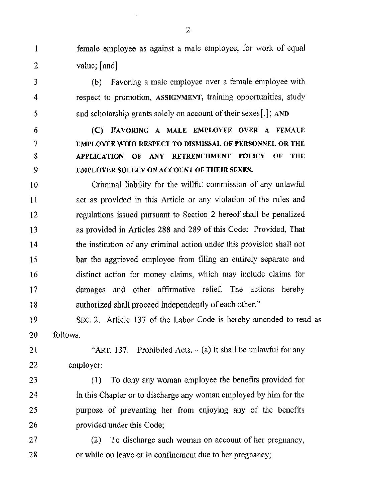female employee as against a male employee, for work of equal value; [and]

(b) Favoring a male employee over a female employee with respect to promotion, **ASSIGNMENT,** training opportunities, study and scholarship grants solely on account of their sexes.<sup>[1]</sup>; AND

*(C)* **FAVORING A MALE EMPLOYEE OVER A FEMALE EMPLOYEE WITH RESPECT TO DISMISSAL OF PERSONNEL OR THE**  APPLICATION OF ANY RETRENCHMENT POLICY OF THE **EMPLOYER SOLELY ON ACCOUNT OF THEIR SEXES.**  6 7 8 9

Criminal liability for the willful commission of any unlawful act as provided in this Article or any violation of the rules and regulations issued pursuant to Section 2 hereof shall be penalized as provided in Articles 288 and 289 of this Code: Provided, That the institution of any criminal action under this provision shall not bar the aggrieved employee from filing an entirely separate and distinct action for money claims, which may include claims for damages and other affirmative relief. The actions hereby authorized shall proceed independently of each other." **IO**  11 12 13 14 15 16 17 **18** 

SEC. 2. Article 137 of the Labor Code is hereby amended to read as follows: 19 20

"ART. 137. Prohibited Acts.  $-(a)$  It shall be unlawful for any employer: 21 22

(1) To deny any woman employee the benefits provided for in this Chapter or to discharge any woman employed by him for the purpose of preventing her from enjoying any of the benefits provided under this Code; 23 24 25 26

(2) To discharge such woman on account of her pregnancy, or while on leave or in confinement due to her pregnancy; 27 28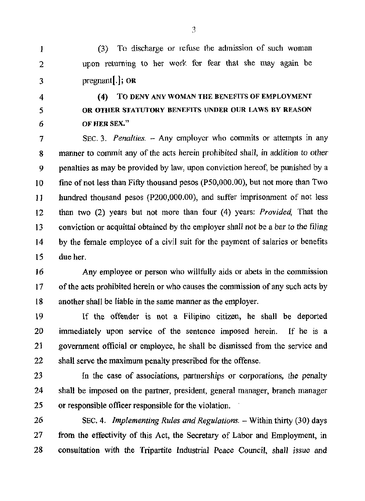(3j To discharge or refuse the admission of such woman upon returning to her work for fear that she may again he pregnant[.]; **OR I**  2 **3** 

4 *5 6* 

**(4) TO DENY ANY WOMAN THE BENEFITS OF EMPLOYMENT OR OTHER STATUTORY BENEFITS UNDER OUR LAWS BY REASON OF HER SEX."** 

SEC. 3. *Penalties.*  $-$  Any employer who commits or attempts in any manner to commit any of the acts herein prohibited shall, in addition to other penalties as may be provided by law, upon conviction hereof, be punished by a fine of not less than Fifty thousand pesos (PSO,OOO.OO), but not more than Two hundred thousand pesos (P200,000.00), and suffer imprisonment of not less than **two** (2) years but not more than four (4) years: Provided, That the conviction or acquittal obtained by the employer shall not be a bar to the filing by the female employee of a civil suit for the payment of salaries or benefits due her. **7 8**  9 **IO**  11 12 13 **14**  15

Any employee or person who willfully aids or abets in the commission of the acts prohibited herein or who causes the commission of any such acts by another shall be liable in the same manner **as** the employer. **16 17 I8** 

**If** the offender **is** not a Filipino citizen, he shall be deported immediately upon service of the sentence imposed herein. If he is a government official or employee, he shall be dismissed from the service and shall serve the maximum penalty prescribed for the offense. 19 20 **21**  22

In the case of associations, partnerships or corporations, the penalty shall be imposed on the partner, president, general manager, branch manager or responsible officer responsible for the violation. 23 24 25

SEC. 4. *Implementing Rules and Regulations.* - Within thirty (30) days from the effectivity of this Act, the Secretary of Labor and Employment, in consultation with the Tripartite Industrial Peace Council, shall issue and *26*  27 28

**:3**